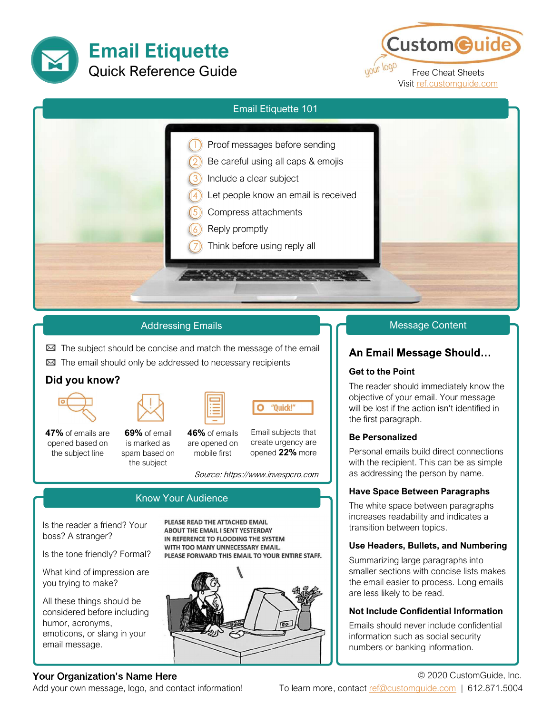



| <b>Email Etiquette 101</b>                                                                                                                                                                                       |
|------------------------------------------------------------------------------------------------------------------------------------------------------------------------------------------------------------------|
| Proof messages before sending<br>Be careful using all caps & emojis<br>Include a clear subject<br>Let people know an email is received<br>Compress attachments<br>Reply promptly<br>Think before using reply all |

## Addressing Emails

 $\boxtimes$  The subject should be concise and match the message of the email

 $\boxtimes$  The email should only be addressed to necessary recipients

## Did you know?



the subject

**47%** of emails are **69%** of email **46%** of emails Email subjects that opened based on is marked as are opened on create urgency are opened based on is marked as are opened on the subject line spam based on mobile first opened 22% more



Source: https://www.invespcro.com

O

"Quick!"

## Know Your Audience

Is the reader a friend? Your boss? A stranger?

Is the tone friendly? Formal?

What kind of impression are you trying to make?

All these things should be considered before including humor, acronyms, emoticons, or slang in your email message.

#### PLEASE READ THE ATTACHED EMAIL **ABOUT THE EMAIL I SENT YESTERDAY** IN REFERENCE TO FLOODING THE SYSTEM WITH TOO MANY UNNECESSARY EMAIL. PLEASE FORWARD THIS EMAIL TO YOUR ENTIRE STAFF.



#### Message Content

## An Email Message Should...

#### Get to the Point

The reader should immediately know the objective of your email. Your message will be lost if the action isn't identified in the first paragraph.

#### Be Personalized

Personal emails build direct connections with the recipient. This can be as simple as addressing the person by name.

#### Have Space Between Paragraphs

The white space between paragraphs increases readability and indicates a transition between topics.

#### Use Headers, Bullets, and Numbering

Summarizing large paragraphs into smaller sections with concise lists makes the email easier to process. Long emails are less likely to be read.

#### Not Include Confidential Information

Emails should never include confidential information such as social security numbers or banking information.

## Your Organization's Name Here